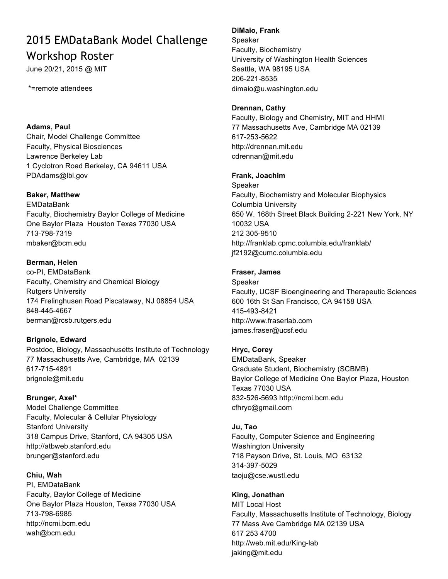# 2015 EMDataBank Model Challenge Workshop Roster

June 20/21, 2015 @ MIT

#### \*=remote attendees

## **Adams, Paul**

Chair, Model Challenge Committee Faculty, Physical Biosciences Lawrence Berkeley Lab 1 Cyclotron Road Berkeley, CA 94611 USA PDAdams@lbl.gov

#### **Baker, Matthew**

EMDataBank Faculty, Biochemistry Baylor College of Medicine One Baylor Plaza Houston Texas 77030 USA 713-798-7319 mbaker@bcm.edu

#### **Berman, Helen**

co-PI, EMDataBank Faculty, Chemistry and Chemical Biology Rutgers University 174 Frelinghusen Road Piscataway, NJ 08854 USA 848-445-4667 berman@rcsb.rutgers.edu

## **Brignole, Edward**

Postdoc, Biology, Massachusetts Institute of Technology 77 Massachusetts Ave, Cambridge, MA 02139 617-715-4891 brignole@mit.edu

## **Brunger, Axel\***

Model Challenge Committee Faculty, Molecular & Cellular Physiology Stanford University 318 Campus Drive, Stanford, CA 94305 USA http://atbweb.stanford.edu brunger@stanford.edu

## **Chiu, Wah**

PI, EMDataBank Faculty, Baylor College of Medicine One Baylor Plaza Houston, Texas 77030 USA 713-798-6985 http://ncmi.bcm.edu wah@bcm.edu

#### **DiMaio, Frank**

Speaker Faculty, Biochemistry University of Washington Health Sciences Seattle, WA 98195 USA 206-221-8535 dimaio@u.washington.edu

#### **Drennan, Cathy**

Faculty, Biology and Chemistry, MIT and HHMI 77 Massachusetts Ave, Cambridge MA 02139 617-253-5622 http://drennan.mit.edu cdrennan@mit.edu

#### **Frank, Joachim**

Speaker Faculty, Biochemistry and Molecular Biophysics Columbia University 650 W. 168th Street Black Building 2-221 New York, NY 10032 USA 212 305-9510 http://franklab.cpmc.columbia.edu/franklab/ jf2192@cumc.columbia.edu

#### **Fraser, James**

Speaker Faculty, UCSF Bioengineering and Therapeutic Sciences 600 16th St San Francisco, CA 94158 USA 415-493-8421 http://www.fraserlab.com james.fraser@ucsf.edu

## **Hryc, Corey**

EMDataBank, Speaker Graduate Student, Biochemistry (SCBMB) Baylor College of Medicine One Baylor Plaza, Houston Texas 77030 USA 832-526-5693 http://ncmi.bcm.edu cfhryc@gmail.com

#### **Ju, Tao**

Faculty, Computer Science and Engineering Washington University 718 Payson Drive, St. Louis, MO 63132 314-397-5029 taoju@cse.wustl.edu

## **King, Jonathan**

MIT Local Host Faculty, Massachusetts Institute of Technology, Biology 77 Mass Ave Cambridge MA 02139 USA 617 253 4700 http://web.mit.edu/King-lab jaking@mit.edu